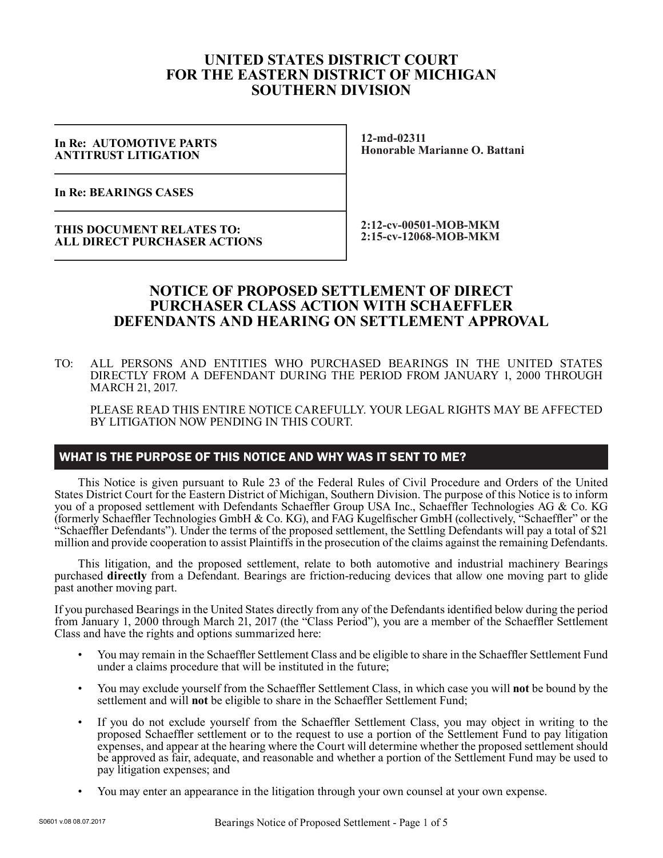# **UNITED STATES DISTRICT COURT FOR THE EASTERN DISTRICT OF MICHIGAN SOUTHERN DIVISION**

#### **In Re: AUTOMOTIVE PARTS ANTITRUST LITIGATION**

**12-md-02311 Honorable Marianne O. Battani**

**In Re: BEARINGS CASES**

**THIS DOCUMENT RELATES TO: ALL DIRECT PURCHASER ACTIONS** **2:12-cv-00501-MOB-MKM 2:15-cv-12068-MOB-MKM**

# **NOTICE OF PROPOSED SETTLEMENT OF DIRECT PURCHASER CLASS ACTION WITH SCHAEFFLER DEFENDANTS AND HEARING ON SETTLEMENT APPROVAL**

TO: ALL PERSONS AND ENTITIES WHO PURCHASED BEARINGS IN THE UNITED STATES DIRECTLY FROM A DEFENDANT DURING THE PERIOD FROM JANUARY 1, 2000 THROUGH MARCH 21, 2017.

PLEASE READ THIS ENTIRE NOTICE CAREFULLY. YOUR LEGAL RIGHTS MAY BE AFFECTED BY LITIGATION NOW PENDING IN THIS COURT.

## WHAT IS THE PURPOSE OF THIS NOTICE AND WHY WAS IT SENT TO ME?

This Notice is given pursuant to Rule 23 of the Federal Rules of Civil Procedure and Orders of the United States District Court for the Eastern District of Michigan, Southern Division. The purpose of this Notice is to inform you of a proposed settlement with Defendants Schaeffler Group USA Inc., Schaeffler Technologies AG & Co. KG (formerly Schaeffler Technologies GmbH & Co. KG), and FAG Kugelfischer GmbH (collectively, "Schaeffler" or the "Schaeffler Defendants"). Under the terms of the proposed settlement, the Settling Defendants will pay a total of \$21 million and provide cooperation to assist Plaintiffs in the prosecution of the claims against the remaining Defendants.

This litigation, and the proposed settlement, relate to both automotive and industrial machinery Bearings purchased **directly** from a Defendant. Bearings are friction-reducing devices that allow one moving part to glide past another moving part.

If you purchased Bearings in the United States directly from any of the Defendants identified below during the period from January 1, 2000 through March 21, 2017 (the "Class Period"), you are a member of the Schaeffler Settlement Class and have the rights and options summarized here:

- You may remain in the Schaeffler Settlement Class and be eligible to share in the Schaeffler Settlement Fund under a claims procedure that will be instituted in the future;
- You may exclude yourself from the Schaeffler Settlement Class, in which case you will **not** be bound by the settlement and will **not** be eligible to share in the Schaeffler Settlement Fund;
- If you do not exclude yourself from the Schaeffler Settlement Class, you may object in writing to the proposed Schaeffler settlement or to the request to use a portion of the Settlement Fund to pay litigation expenses, and appear at the hearing where the Court will determine whether the proposed settlement should be approved as fair, adequate, and reasonable and whether a portion of the Settlement Fund may be used to pay litigation expenses; and
- You may enter an appearance in the litigation through your own counsel at your own expense.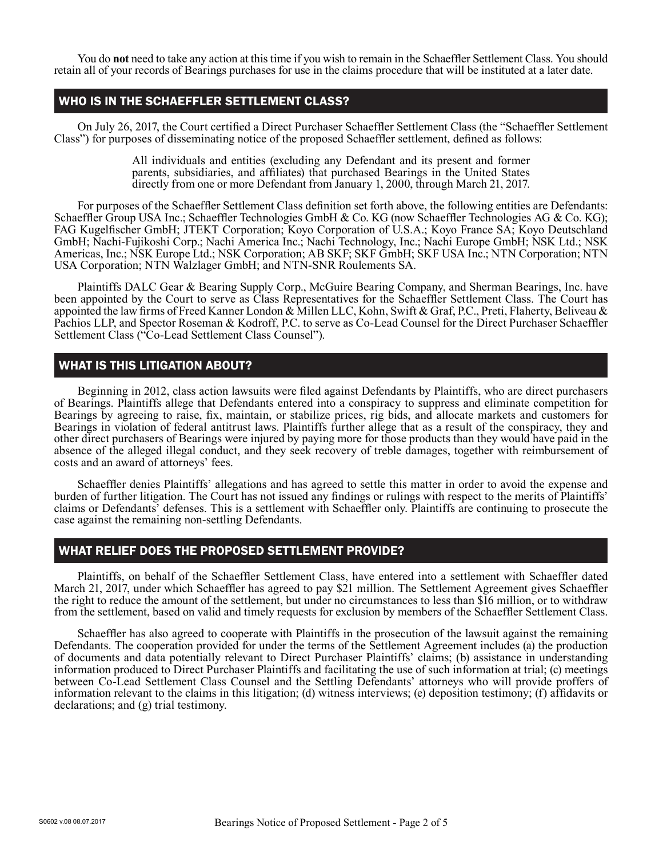You do **not** need to take any action at this time if you wish to remain in the Schaeffler Settlement Class. You should retain all of your records of Bearings purchases for use in the claims procedure that will be instituted at a later date.

## WHO IS IN THE SCHAEFFLER SETTLEMENT CLASS?

On July 26, 2017, the Court certified a Direct Purchaser Schaeffler Settlement Class (the "Schaeffler Settlement Class") for purposes of disseminating notice of the proposed Schaeffler settlement, defined as follows:

> All individuals and entities (excluding any Defendant and its present and former parents, subsidiaries, and affiliates) that purchased Bearings in the United States directly from one or more Defendant from January 1, 2000, through March 21, 2017.

For purposes of the Schaeffler Settlement Class definition set forth above, the following entities are Defendants: Schaeffler Group USA Inc.; Schaeffler Technologies GmbH & Co. KG (now Schaeffler Technologies AG & Co. KG); FAG Kugelfischer GmbH; JTEKT Corporation; Koyo Corporation of U.S.A.; Koyo France SA; Koyo Deutschland GmbH; Nachi-Fujikoshi Corp.; Nachi America Inc.; Nachi Technology, Inc.; Nachi Europe GmbH; NSK Ltd.; NSK Americas, Inc.; NSK Europe Ltd.; NSK Corporation; AB SKF; SKF GmbH; SKF USA Inc.; NTN Corporation; NTN USA Corporation; NTN Walzlager GmbH; and NTN-SNR Roulements SA.

Plaintiffs DALC Gear & Bearing Supply Corp., McGuire Bearing Company, and Sherman Bearings, Inc. have been appointed by the Court to serve as Class Representatives for the Schaeffler Settlement Class. The Court has appointed the law firms of Freed Kanner London & Millen LLC, Kohn, Swift & Graf, P.C., Preti, Flaherty, Beliveau & Pachios LLP, and Spector Roseman & Kodroff, P.C. to serve as Co-Lead Counsel for the Direct Purchaser Schaeffler Settlement Class ("Co-Lead Settlement Class Counsel").

## WHAT IS THIS LITIGATION ABOUT?

Beginning in 2012, class action lawsuits were filed against Defendants by Plaintiffs, who are direct purchasers of Bearings. Plaintiffs allege that Defendants entered into a conspiracy to suppress and eliminate competition for Bearings by agreeing to raise, fix, maintain, or stabilize prices, rig bids, and allocate markets and customers for Bearings in violation of federal antitrust laws. Plaintiffs further allege that as a result of the conspiracy, they and other direct purchasers of Bearings were injured by paying more for those products than they would have paid in the absence of the alleged illegal conduct, and they seek recovery of treble damages, together with reimbursement of costs and an award of attorneys' fees.

Schaeffler denies Plaintiffs' allegations and has agreed to settle this matter in order to avoid the expense and burden of further litigation. The Court has not issued any findings or rulings with respect to the merits of Plaintiffs' claims or Defendants' defenses. This is a settlement with Schaeffler only. Plaintiffs are continuing to prosecute the case against the remaining non-settling Defendants.

## WHAT RELIEF DOES THE PROPOSED SETTLEMENT PROVIDE?

Plaintiffs, on behalf of the Schaeffler Settlement Class, have entered into a settlement with Schaeffler dated March 21, 2017, under which Schaeffler has agreed to pay \$21 million. The Settlement Agreement gives Schaeffler the right to reduce the amount of the settlement, but under no circumstances to less than \$16 million, or to withdraw from the settlement, based on valid and timely requests for exclusion by members of the Schaeffler Settlement Class.

Schaeffler has also agreed to cooperate with Plaintiffs in the prosecution of the lawsuit against the remaining Defendants. The cooperation provided for under the terms of the Settlement Agreement includes (a) the production of documents and data potentially relevant to Direct Purchaser Plaintiffs' claims; (b) assistance in understanding information produced to Direct Purchaser Plaintiffs and facilitating the use of such information at trial; (c) meetings between Co-Lead Settlement Class Counsel and the Settling Defendants' attorneys who will provide proffers of information relevant to the claims in this litigation; (d) witness interviews; (e) deposition testimony; (f) affidavits or declarations; and (g) trial testimony.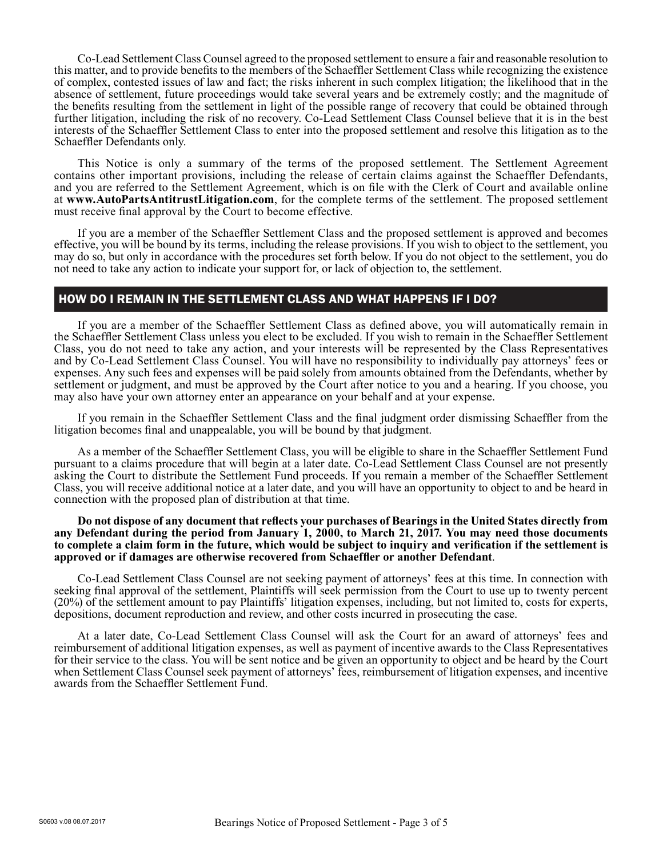Co-Lead Settlement Class Counsel agreed to the proposed settlement to ensure a fair and reasonable resolution to this matter, and to provide benefits to the members of the Schaeffler Settlement Class while recognizing the existence of complex, contested issues of law and fact; the risks inherent in such complex litigation; the likelihood that in the absence of settlement, future proceedings would take several years and be extremely costly; and the magnitude of the benefits resulting from the settlement in light of the possible range of recovery that could be obtained through further litigation, including the risk of no recovery. Co-Lead Settlement Class Counsel believe that it is in the best interests of the Schaeffler Settlement Class to enter into the proposed settlement and resolve this litigation as to the Schaeffler Defendants only.

This Notice is only a summary of the terms of the proposed settlement. The Settlement Agreement contains other important provisions, including the release of certain claims against the Schaeffler Defendants, and you are referred to the Settlement Agreement, which is on file with the Clerk of Court and available online at **www.AutoPartsAntitrustLitigation.com**, for the complete terms of the settlement. The proposed settlement must receive final approval by the Court to become effective.

If you are a member of the Schaeffler Settlement Class and the proposed settlement is approved and becomes effective, you will be bound by its terms, including the release provisions. If you wish to object to the settlement, you may do so, but only in accordance with the procedures set forth below. If you do not object to the settlement, you do not need to take any action to indicate your support for, or lack of objection to, the settlement.

# HOW DO I REMAIN IN THE SETTLEMENT CLASS AND WHAT HAPPENS IF I DO?

If you are a member of the Schaeffler Settlement Class as defined above, you will automatically remain in the Schaeffler Settlement Class unless you elect to be excluded. If you wish to remain in the Schaeffler Settlement Class, you do not need to take any action, and your interests will be represented by the Class Representatives and by Co-Lead Settlement Class Counsel. You will have no responsibility to individually pay attorneys' fees or expenses. Any such fees and expenses will be paid solely from amounts obtained from the Defendants, whether by settlement or judgment, and must be approved by the Court after notice to you and a hearing. If you choose, you may also have your own attorney enter an appearance on your behalf and at your expense.

If you remain in the Schaeffler Settlement Class and the final judgment order dismissing Schaeffler from the litigation becomes final and unappealable, you will be bound by that judgment.

As a member of the Schaeffler Settlement Class, you will be eligible to share in the Schaeffler Settlement Fund pursuant to a claims procedure that will begin at a later date. Co-Lead Settlement Class Counsel are not presently asking the Court to distribute the Settlement Fund proceeds. If you remain a member of the Schaeffler Settlement Class, you will receive additional notice at a later date, and you will have an opportunity to object to and be heard in connection with the proposed plan of distribution at that time.

#### **Do not dispose of any document that reflects your purchases of Bearings in the United States directly from any Defendant during the period from January 1, 2000, to March 21, 2017. You may need those documents to complete a claim form in the future, which would be subject to inquiry and verification if the settlement is approved or if damages are otherwise recovered from Schaeffler or another Defendant**.

Co-Lead Settlement Class Counsel are not seeking payment of attorneys' fees at this time. In connection with seeking final approval of the settlement, Plaintiffs will seek permission from the Court to use up to twenty percent (20%) of the settlement amount to pay Plaintiffs' litigation expenses, including, but not limited to, costs for experts, depositions, document reproduction and review, and other costs incurred in prosecuting the case.

At a later date, Co-Lead Settlement Class Counsel will ask the Court for an award of attorneys' fees and reimbursement of additional litigation expenses, as well as payment of incentive awards to the Class Representatives for their service to the class. You will be sent notice and be given an opportunity to object and be heard by the Court when Settlement Class Counsel seek payment of attorneys' fees, reimbursement of litigation expenses, and incentive awards from the Schaeffler Settlement Fund.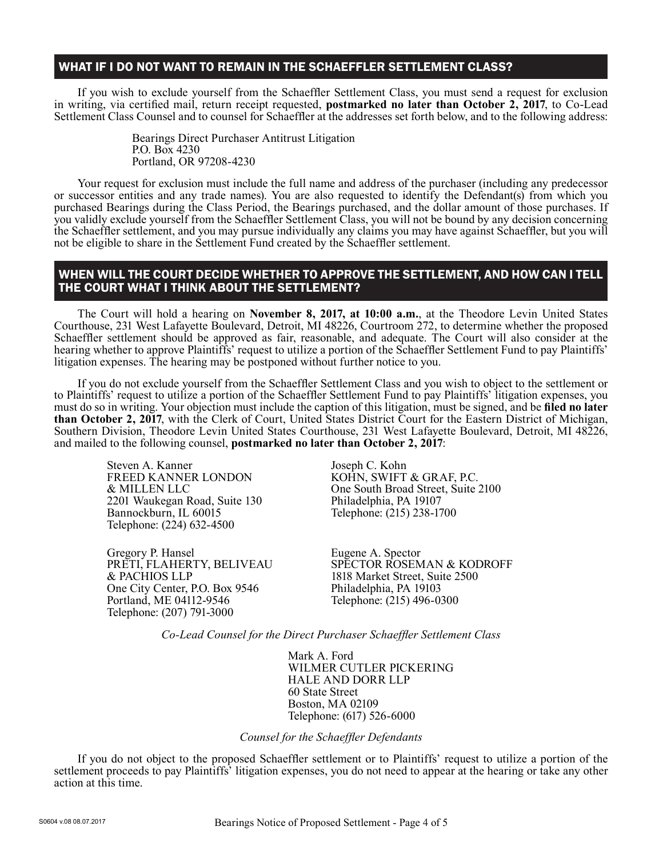# WHAT IF I DO NOT WANT TO REMAIN IN THE SCHAEFFLER SETTLEMENT CLASS?

If you wish to exclude yourself from the Schaeffler Settlement Class, you must send a request for exclusion in writing, via certified mail, return receipt requested, **postmarked no later than October 2, 2017**, to Co-Lead Settlement Class Counsel and to counsel for Schaeffler at the addresses set forth below, and to the following address:

> Bearings Direct Purchaser Antitrust Litigation P.O. Box 4230 Portland, OR 97208-4230

Your request for exclusion must include the full name and address of the purchaser (including any predecessor or successor entities and any trade names). You are also requested to identify the Defendant(s) from which you purchased Bearings during the Class Period, the Bearings purchased, and the dollar amount of those purchases. If you validly exclude yourself from the Schaeffler Settlement Class, you will not be bound by any decision concerning the Schaeffler settlement, and you may pursue individually any claims you may have against Schaeffler, but you will not be eligible to share in the Settlement Fund created by the Schaeffler settlement.

### WHEN WILL THE COURT DECIDE WHETHER TO APPROVE THE SETTLEMENT, AND HOW CAN I TELL THE COURT WHAT I THINK ABOUT THE SETTLEMENT?

The Court will hold a hearing on **November 8, 2017, at 10:00 a.m.**, at the Theodore Levin United States Courthouse, 231 West Lafayette Boulevard, Detroit, MI 48226, Courtroom 272, to determine whether the proposed Schaeffler settlement should be approved as fair, reasonable, and adequate. The Court will also consider at the hearing whether to approve Plaintiffs' request to utilize a portion of the Schaeffler Settlement Fund to pay Plaintiffs' litigation expenses. The hearing may be postponed without further notice to you.

If you do not exclude yourself from the Schaeffler Settlement Class and you wish to object to the settlement or to Plaintiffs' request to utilize a portion of the Schaeffler Settlement Fund to pay Plaintiffs' litigation expenses, you must do so in writing. Your objection must include the caption of this litigation, must be signed, and be **filed no later than October 2, 2017**, with the Clerk of Court, United States District Court for the Eastern District of Michigan, Southern Division, Theodore Levin United States Courthouse, 231 West Lafayette Boulevard, Detroit, MI 48226, and mailed to the following counsel, **postmarked no later than October 2, 2017**:

Steven A. Kanner FREED KANNER LONDON & MILLEN LLC 2201 Waukegan Road, Suite 130 Bannockburn, IL 60015 Telephone: (224) 632-4500

Gregory P. Hansel PRETI, FLAHERTY, BELIVEAU & PACHIOS LLP One City Center, P.O. Box 9546 Portland, ME 04112-9546 Telephone: (207) 791-3000

Joseph C. Kohn KOHN, SWIFT & GRAF, P.C. One South Broad Street, Suite 2100 Philadelphia, PA 19107 Telephone: (215) 238-1700

Eugene A. Spector SPECTOR ROSEMAN & KODROFF 1818 Market Street, Suite 2500 Philadelphia, PA 19103 Telephone: (215) 496-0300

*Co-Lead Counsel for the Direct Purchaser Schaeffler Settlement Class*

Mark A. Ford WILMER CUTLER PICKERING HALE AND DORR LLP 60 State Street Boston, MA 02109 Telephone: (617) 526-6000

*Counsel for the Schaeffler Defendants*

If you do not object to the proposed Schaeffler settlement or to Plaintiffs' request to utilize a portion of the settlement proceeds to pay Plaintiffs' litigation expenses, you do not need to appear at the hearing or take any other action at this time.